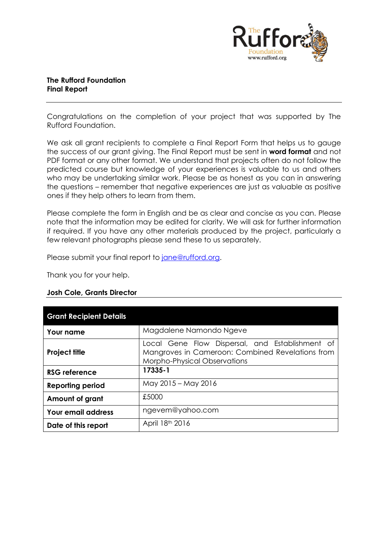

## **The Rufford Foundation Final Report**

Congratulations on the completion of your project that was supported by The Rufford Foundation.

We ask all grant recipients to complete a Final Report Form that helps us to gauge the success of our grant giving. The Final Report must be sent in **word format** and not PDF format or any other format. We understand that projects often do not follow the predicted course but knowledge of your experiences is valuable to us and others who may be undertaking similar work. Please be as honest as you can in answering the questions – remember that negative experiences are just as valuable as positive ones if they help others to learn from them.

Please complete the form in English and be as clear and concise as you can. Please note that the information may be edited for clarity. We will ask for further information if required. If you have any other materials produced by the project, particularly a few relevant photographs please send these to us separately.

Please submit your final report to [jane@rufford.org.](mailto:jane@rufford.org)

Thank you for your help.

#### **Josh Cole, Grants Director**

| <b>Grant Recipient Details</b> |                                                                                                                                     |  |  |  |  |  |
|--------------------------------|-------------------------------------------------------------------------------------------------------------------------------------|--|--|--|--|--|
| <b>Your name</b>               | Magdalene Namondo Ngeve                                                                                                             |  |  |  |  |  |
| <b>Project title</b>           | Local Gene Flow Dispersal, and Establishment of<br>Mangroves in Cameroon: Combined Revelations from<br>Morpho-Physical Observations |  |  |  |  |  |
| <b>RSG reference</b>           | 17335-1                                                                                                                             |  |  |  |  |  |
| <b>Reporting period</b>        | May 2015 - May 2016                                                                                                                 |  |  |  |  |  |
| Amount of grant                | £5000                                                                                                                               |  |  |  |  |  |
| <b>Your email address</b>      | ngevem@yahoo.com                                                                                                                    |  |  |  |  |  |
| Date of this report            | April 18th 2016                                                                                                                     |  |  |  |  |  |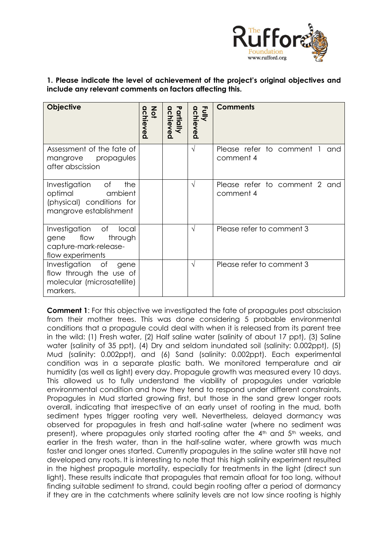

**1. Please indicate the level of achievement of the project's original objectives and include any relevant comments on factors affecting this.** 

| <b>Objective</b>                                                                                  | <b>Not</b><br>achieved | Partially<br>achieved | Fully<br>achieved | <b>Comments</b>                               |  |
|---------------------------------------------------------------------------------------------------|------------------------|-----------------------|-------------------|-----------------------------------------------|--|
| Assessment of the fate of<br>mangrove propagules<br>after abscission                              |                        |                       | $\sqrt{}$         | Please refer to comment 1<br>and<br>comment 4 |  |
| Investigation of<br>the<br>optimal ambient<br>(physical) conditions for<br>mangrove establishment |                        |                       | V                 | Please refer to comment 2 and<br>comment 4    |  |
| Investigation of<br>local<br>gene flow<br>through<br>capture-mark-release-<br>flow experiments    |                        |                       | $\sqrt{ }$        | Please refer to comment 3                     |  |
| Investigation of gene<br>flow through the use of<br>molecular (microsatellite)<br>markers.        |                        |                       | $\sqrt{}$         | Please refer to comment 3                     |  |

**Comment 1:** For this objective we investigated the fate of propagules post abscission from their mother trees. This was done considering 5 probable environmental conditions that a propagule could deal with when it is released from its parent tree in the wild: (1) Fresh water, (2) Half saline water (salinity of about 17 ppt), (3) Saline water (salinity of 35 ppt), (4) Dry and seldom inundated soil (salinity: 0.002ppt), (5) Mud (salinity: 0.002ppt), and (6) Sand (salinity: 0.002ppt). Each experimental condition was in a separate plastic bath. We monitored temperature and air humidity (as well as light) every day. Propagule growth was measured every 10 days. This allowed us to fully understand the viability of propagules under variable environmental condition and how they tend to respond under different constraints. Propagules in Mud started growing first, but those in the sand grew longer roots overall, indicating that irrespective of an early unset of rooting in the mud, both sediment types trigger rooting very well. Nevertheless, delayed dormancy was observed for propagules in fresh and half-saline water (where no sediment was present), where propagules only started rooting after the 4<sup>th</sup> and 5<sup>th</sup> weeks, and earlier in the fresh water, than in the half-saline water, where growth was much faster and longer ones started. Currently propagules in the saline water still have not developed any roots. It is interesting to note that this high salinity experiment resulted in the highest propagule mortality, especially for treatments in the light (direct sun light). These results indicate that propagules that remain afloat for too long, without finding suitable sediment to strand, could begin rooting after a period of dormancy if they are in the catchments where salinity levels are not low since rooting is highly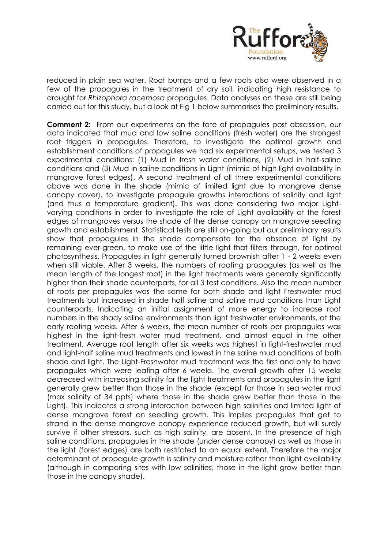

reduced in plain sea water. Root bumps and a few roots also were observed in a few of the propagules in the treatment of dry soil, indicating high resistance to drought for *Rhizophora racemosa* propagules. Data analyses on these are still being carried out for this study, but a look at Fig 1 below summarises the preliminary results.

**Comment 2:** From our experiments on the fate of propagules post abscission, our data indicated that mud and low saline conditions (fresh water) are the strongest root triggers in propagules. Therefore, to investigate the optimal growth and establishment conditions of propagules we had six experimental setups, we tested 3 experimental conditions: (1) Mud in fresh water conditions, (2) Mud in half-saline conditions and (3) Mud in saline conditions in Light (mimic of high light availability in mangrove forest edges). A second treatment of all three experimental conditions above was done in the shade (mimic of limited light due to mangrove dense canopy cover), to investigate propagule growths interactions of salinity and light (and thus a temperature gradient). This was done considering two major Lightvarying conditions in order to investigate the role of Light availability at the forest edges of mangroves versus the shade of the dense canopy on mangrove seedling growth and establishment. Statistical tests are still on-going but our preliminary results show that propagules in the shade compensate for the absence of light by remaining ever-green, to make use of the little light that filters through, for optimal photosynthesis. Propagules in light generally turned brownish after 1 - 2 weeks even when still viable. After 3 weeks, the numbers of rooting propagules (as well as the mean length of the longest root) in the light treatments were generally significantly higher than their shade counterparts, for all 3 test conditions. Also the mean number of roots per propagules was the same for both shade and light Freshwater mud treatments but increased in shade half saline and saline mud conditions than Light counterparts. Indicating an initial assignment of more energy to increase root numbers in the shady saline environments than light freshwater environments, at the early rooting weeks. After 6 weeks, the mean number of roots per propagules was highest in the light-fresh water mud treatment, and almost equal in the other treatment. Average root length after six weeks was highest in light-freshwater mud and light-half saline mud treatments and lowest in the saline mud conditions of both shade and light. The Light-Freshwater mud treatment was the first and only to have propagules which were leafing after 6 weeks. The overall growth after 15 weeks decreased with increasing salinity for the light treatments and propagules in the light generally grew better than those in the shade (except for those in sea water mud (max salinity of 34 ppts) where those in the shade grew better than those in the Light). This indicates a strong interaction between high salinities and limited light of dense mangrove forest on seedling growth. This implies propagules that get to strand in the dense mangrove canopy experience reduced growth, but will surely survive if other stressors, such as high salinity, are absent. In the presence of high saline conditions, propagules in the shade (under dense canopy) as well as those in the light (forest edges) are both restricted to an equal extent. Therefore the major determinant of propagule growth is salinity and moisture rather than light availability (although in comparing sites with low salinities, those in the light grow better than those in the canopy shade).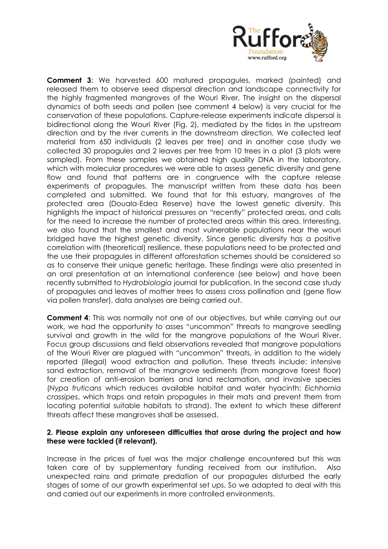

**Comment 3**: We harvested 600 matured propagules, marked (painted) and released them to observe seed dispersal direction and landscape connectivity for the highly fragmented mangroves of the Wouri River. The insight on the dispersal dynamics of both seeds and pollen (see comment 4 below) is very crucial for the conservation of these populations. Capture-release experiments indicate dispersal is bidirectional along the Wouri River (Fig. 2), mediated by the tides in the upstream direction and by the river currents in the downstream direction. We collected leaf material from 650 individuals (2 leaves per tree) and in another case study we collected 30 propagules and 2 leaves per tree from 10 trees in a plot (3 plots were sampled). From these samples we obtained high quality DNA in the laboratory, which with molecular procedures we were able to assess genetic diversity and gene flow and found that patterns are in congruence with the capture release experiments of propagules. The manuscript written from these data has been completed and submitted. We found that for this estuary, mangroves of the protected area (Douala-Edea Reserve) have the lowest genetic diversity. This highlights the impact of historical pressures on "recently" protected areas, and calls for the need to increase the number of protected areas within this area. Interesting, we also found that the smallest and most vulnerable populations near the wouri bridged have the highest genetic diversity. Since genetic diversity has a positive correlation with (theoretical) resilience, these populations need to be protected and the use their propagules in different afforestation schemes should be considered so as to conserve their unique genetic heritage. These findings were also presented in an oral presentation at an international conference (see below) and have been recently submitted to *Hydrobiologia* journal for publication. In the second case study of propagules and leaves of mother trees to assess cross pollination and (gene flow via pollen transfer), data analyses are being carried out.

**Comment 4:** This was normally not one of our objectives, but while carrying out our work, we had the opportunity to asses "uncommon" threats to mangrove seedling survival and growth in the wild for the mangrove populations of the Wouri River. Focus group discussions and field observations revealed that mangrove populations of the Wouri River are plagued with "uncommon" threats, in addition to the widely reported (illegal) wood extraction and pollution. These threats include: intensive sand extraction, removal of the mangrove sediments (from mangrove forest floor) for creation of anti-erosion barriers and land reclamation, and invasive species (*Nypa fruticans* which reduces available habitat and water hyacinth: *Eichhornia crassipes*, which traps and retain propagules in their mats and prevent them from locating potential suitable habitats to strand). The extent to which these different threats affect these mangroves shall be assessed.

## **2. Please explain any unforeseen difficulties that arose during the project and how these were tackled (if relevant).**

Increase in the prices of fuel was the major challenge encountered but this was taken care of by supplementary funding received from our institution. Also unexpected rains and primate predation of our propagules disturbed the early stages of some of our growth experimental set ups. So we adapted to deal with this and carried out our experiments in more controlled environments.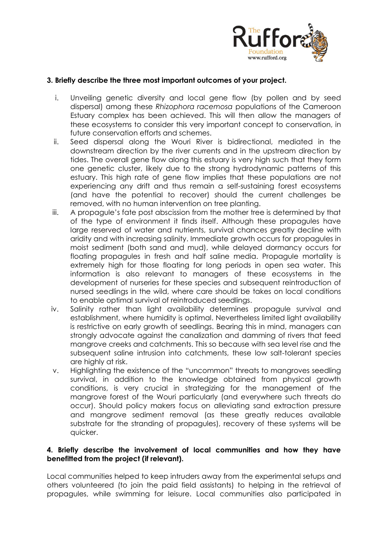

## **3. Briefly describe the three most important outcomes of your project.**

- i. Unveiling genetic diversity and local gene flow (by pollen and by seed dispersal) among these *Rhizophora racemosa* populations of the Cameroon Estuary complex has been achieved. This will then allow the managers of these ecosystems to consider this very important concept to conservation, in future conservation efforts and schemes.
- ii. Seed dispersal along the Wouri River is bidirectional, mediated in the downstream direction by the river currents and in the upstream direction by tides. The overall gene flow along this estuary is very high such that they form one genetic cluster, likely due to the strong hydrodynamic patterns of this estuary. This high rate of gene flow implies that these populations are not experiencing any drift and thus remain a self-sustaining forest ecosystems (and have the potential to recover) should the current challenges be removed, with no human intervention on tree planting.
- iii. A propagule's fate post abscission from the mother tree is determined by that of the type of environment it finds itself. Although these propagules have large reserved of water and nutrients, survival chances greatly decline with aridity and with increasing salinity. Immediate growth occurs for propagules in moist sediment (both sand and mud), while delayed dormancy occurs for floating propagules in fresh and half saline media. Propagule mortality is extremely high for those floating for long periods in open sea water. This information is also relevant to managers of these ecosystems in the development of nurseries for these species and subsequent reintroduction of nursed seedlings in the wild, where care should be takes on local conditions to enable optimal survival of reintroduced seedlings.
- iv. Salinity rather than light availability determines propagule survival and establishment, where humidity is optimal. Nevertheless limited light availability is restrictive on early growth of seedlings. Bearing this in mind, managers can strongly advocate against the canalization and damming of rivers that feed mangrove creeks and catchments. This so because with sea level rise and the subsequent saline intrusion into catchments, these low salt-tolerant species are highly at risk.
- v. Highlighting the existence of the "uncommon" threats to mangroves seedling survival, in addition to the knowledge obtained from physical growth conditions, is very crucial in strategizing for the management of the mangrove forest of the Wouri particularly (and everywhere such threats do occur). Should policy makers focus on alleviating sand extraction pressure and mangrove sediment removal (as these greatly reduces available substrate for the stranding of propagules), recovery of these systems will be quicker.

## **4. Briefly describe the involvement of local communities and how they have benefitted from the project (if relevant).**

Local communities helped to keep intruders away from the experimental setups and others volunteered (to join the paid field assistants) to helping in the retrieval of propagules, while swimming for leisure. Local communities also participated in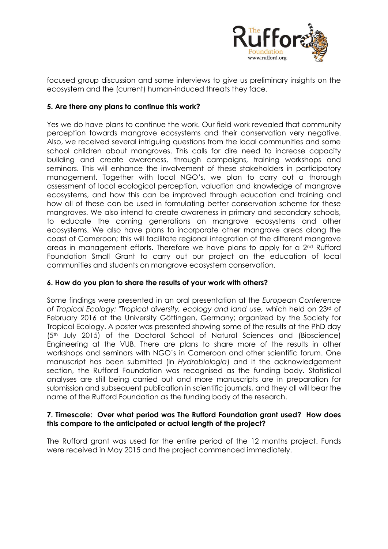

focused group discussion and some interviews to give us preliminary insights on the ecosystem and the (current) human-induced threats they face.

## **5. Are there any plans to continue this work?**

Yes we do have plans to continue the work. Our field work revealed that community perception towards mangrove ecosystems and their conservation very negative. Also, we received several intriguing questions from the local communities and some school children about mangroves. This calls for dire need to increase capacity building and create awareness, through campaigns, training workshops and seminars. This will enhance the involvement of these stakeholders in participatory management. Together with local NGO's, we plan to carry out a thorough assessment of local ecological perception, valuation and knowledge of mangrove ecosystems, and how this can be improved through education and training and how all of these can be used in formulating better conservation scheme for these mangroves. We also intend to create awareness in primary and secondary schools, to educate the coming generations on mangrove ecosystems and other ecosystems. We also have plans to incorporate other mangrove areas along the coast of Cameroon; this will facilitate regional integration of the different mangrove areas in management efforts. Therefore we have plans to apply for a  $2<sup>nd</sup>$  Rufford Foundation Small Grant to carry out our project on the education of local communities and students on mangrove ecosystem conservation.

#### **6. How do you plan to share the results of your work with others?**

Some findings were presented in an oral presentation at the *European Conference of Tropical Ecology: "Tropical diversity, ecology and land use,* which held on 23rd of February 2016 at the University Göttingen, Germany; organized by the Society for Tropical Ecology. A poster was presented showing some of the results at the PhD day (5th July 2015) of the Doctoral School of Natural Sciences and (Bioscience) Engineering at the VUB. There are plans to share more of the results in other workshops and seminars with NGO's in Cameroon and other scientific forum. One manuscript has been submitted (in *Hydrobiologia*) and it the acknowledgement section, the Rufford Foundation was recognised as the funding body. Statistical analyses are still being carried out and more manuscripts are in preparation for submission and subsequent publication in scientific journals, and they all will bear the name of the Rufford Foundation as the funding body of the research.

#### **7. Timescale: Over what period was The Rufford Foundation grant used? How does this compare to the anticipated or actual length of the project?**

The Rufford grant was used for the entire period of the 12 months project. Funds were received in May 2015 and the project commenced immediately.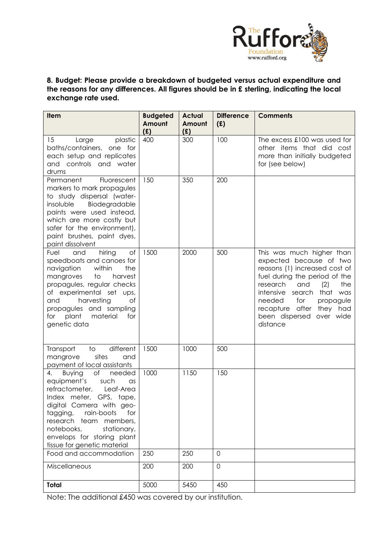

## **8. Budget: Please provide a breakdown of budgeted versus actual expenditure and the reasons for any differences. All figures should be in £ sterling, indicating the local exchange rate used.**

| Item                                                                                                                                                                                                                                                                                                                | <b>Budgeted</b> | <b>Actual</b> | <b>Difference</b> | <b>Comments</b>                                                                                                                                                                                                                                                                              |
|---------------------------------------------------------------------------------------------------------------------------------------------------------------------------------------------------------------------------------------------------------------------------------------------------------------------|-----------------|---------------|-------------------|----------------------------------------------------------------------------------------------------------------------------------------------------------------------------------------------------------------------------------------------------------------------------------------------|
|                                                                                                                                                                                                                                                                                                                     | Amount<br>(E)   | Amount<br>(f) | (E)               |                                                                                                                                                                                                                                                                                              |
| 15<br>Large<br>plastic<br>baths/containers, one for<br>each setup and replicates<br>and controls and water<br>drums                                                                                                                                                                                                 | 400             | 300           | 100               | The excess £100 was used for<br>other items that did cost<br>more than initially budgeted<br>for (see below)                                                                                                                                                                                 |
| Permanent<br>Fluorescent<br>markers to mark propagules<br>to study dispersal (water-<br>Biodegradable<br>insoluble<br>paints were used instead,<br>which are more costly but<br>safer for the environment),<br>paint brushes, paint dyes,<br>paint dissolvent                                                       | 150             | 350           | 200               |                                                                                                                                                                                                                                                                                              |
| hiring<br>Οf<br>and<br>Fuel<br>speedboats and canoes for<br>navigation<br>within<br>the<br>mangroves<br>to<br>harvest<br>propagules, regular checks<br>of experimental set ups,<br>harvesting<br>of<br>and<br>propagules and sampling<br>for plant<br>material<br>for<br>genetic data                               | 1500            | 2000          | 500               | This was much higher than<br>expected because of two<br>reasons (1) increased cost of<br>fuel during the period of the<br>(2)<br>research<br>and<br>the<br>intensive search<br>that was<br>needed<br>for<br>propagule<br>recapture after<br>they had<br>been dispersed over wide<br>distance |
| different<br>$\overline{\phantom{0}}$<br>Transport<br>sites<br>mangrove<br>and<br>payment of local assistants                                                                                                                                                                                                       | 1500            | 1000          | 500               |                                                                                                                                                                                                                                                                                              |
| of<br>needed<br>4.<br><b>Buying</b><br>equipment's<br>such<br>$\alpha$ s<br>refractometer,<br>Leaf-Area<br>Index meter, GPS, tape,<br>digital Camera with geo-<br>rain-boots<br>tagging,<br>for<br>research team members,<br>notebooks,<br>stationary,<br>envelops for storing plant<br>tissue for genetic material | 1000            | 1150          | 150               |                                                                                                                                                                                                                                                                                              |
| Food and accommodation                                                                                                                                                                                                                                                                                              | 250             | 250           | $\mathsf{O}$      |                                                                                                                                                                                                                                                                                              |
| Miscellaneous                                                                                                                                                                                                                                                                                                       | 200             | 200           | $\mathsf{O}$      |                                                                                                                                                                                                                                                                                              |
| Total                                                                                                                                                                                                                                                                                                               | 5000            | 5450          | 450               |                                                                                                                                                                                                                                                                                              |

Note: The additional £450 was covered by our institution.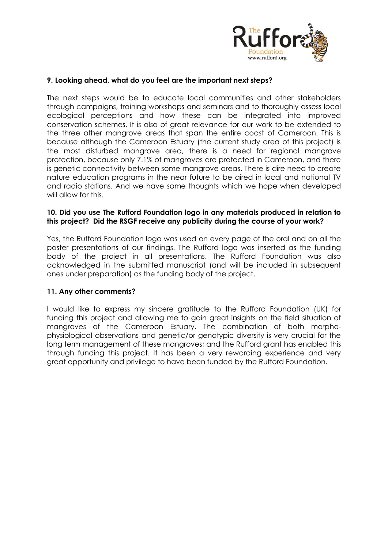

### **9. Looking ahead, what do you feel are the important next steps?**

The next steps would be to educate local communities and other stakeholders through campaigns, training workshops and seminars and to thoroughly assess local ecological perceptions and how these can be integrated into improved conservation schemes. It is also of great relevance for our work to be extended to the three other mangrove areas that span the entire coast of Cameroon. This is because although the Cameroon Estuary (the current study area of this project) is the most disturbed mangrove area, there is a need for regional mangrove protection, because only 7.1% of mangroves are protected in Cameroon, and there is genetic connectivity between some mangrove areas. There is dire need to create nature education programs in the near future to be aired in local and national TV and radio stations. And we have some thoughts which we hope when developed will allow for this.

### **10. Did you use The Rufford Foundation logo in any materials produced in relation to this project? Did the RSGF receive any publicity during the course of your work?**

Yes, the Rufford Foundation logo was used on every page of the oral and on all the poster presentations of our findings. The Rufford logo was inserted as the funding body of the project in all presentations. The Rufford Foundation was also acknowledged in the submitted manuscript (and will be included in subsequent ones under preparation) as the funding body of the project.

## **11. Any other comments?**

I would like to express my sincere gratitude to the Rufford Foundation (UK) for funding this project and allowing me to gain great insights on the field situation of mangroves of the Cameroon Estuary. The combination of both morphophysiological observations and genetic/or genotypic diversity is very crucial for the long term management of these mangroves; and the Rufford grant has enabled this through funding this project. It has been a very rewarding experience and very great opportunity and privilege to have been funded by the Rufford Foundation.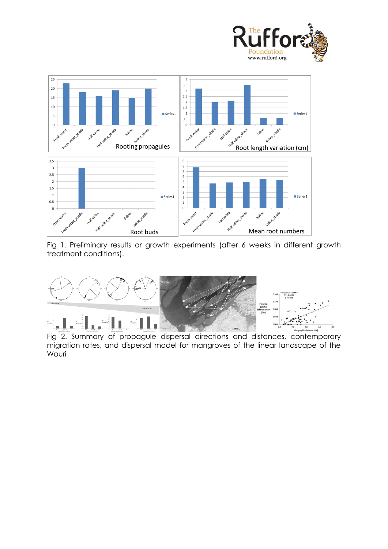



Fig 1. Preliminary results or growth experiments (after 6 weeks in different growth treatment conditions).



Fig 2. Summary of propagule dispersal directions and distances, contemporary migration rates, and dispersal model for mangroves of the linear landscape of the Wouri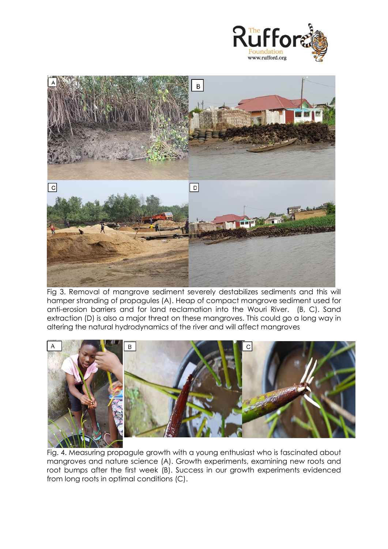



Fig 3. Removal of mangrove sediment severely destabilizes sediments and this will hamper stranding of propagules (A). Heap of compact mangrove sediment used for anti-erosion barriers and for land reclamation into the Wouri River. (B, C). Sand extraction (D) is also a major threat on these mangroves. This could go a long way in altering the natural hydrodynamics of the river and will affect mangroves



Fig. 4. Measuring propagule growth with a young enthusiast who is fascinated about mangroves and nature science (A). Growth experiments, examining new roots and root bumps after the first week (B). Success in our growth experiments evidenced from long roots in optimal conditions (C).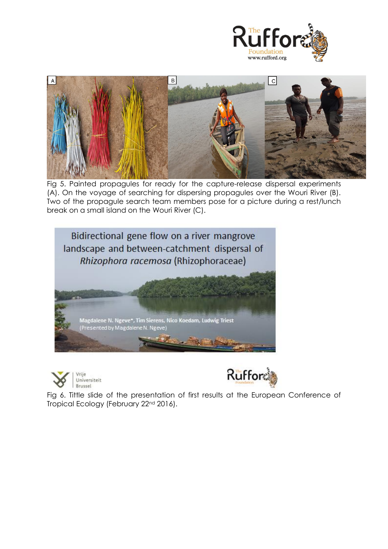



Fig 5. Painted propagules for ready for the capture-release dispersal experiments (A). On the voyage of searching for dispersing propagules over the Wouri River (B). Two of the propagule search team members pose for a picture during a rest/lunch break on a small island on the Wouri River (C).







Fig 6. Tittle slide of the presentation of first results at the European Conference of Tropical Ecology (February 22nd 2016).